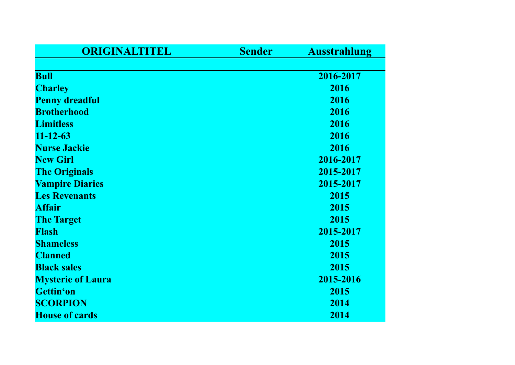| ORIGINALTITEL            | <b>Sender</b> | <b>Ausstrahlung</b> |
|--------------------------|---------------|---------------------|
|                          |               |                     |
| <b>Bull</b>              |               | 2016-2017           |
| <b>Charley</b>           |               | 2016                |
| <b>Penny dreadful</b>    |               | 2016                |
| <b>Brotherhood</b>       |               | 2016                |
| <b>Limitless</b>         |               | 2016                |
| $11 - 12 - 63$           |               | 2016                |
| <b>Nurse Jackie</b>      |               | 2016                |
| <b>New Girl</b>          |               | 2016-2017           |
| <b>The Originals</b>     |               | 2015-2017           |
| <b>Vampire Diaries</b>   |               | 2015-2017           |
| <b>Les Revenants</b>     |               | 2015                |
| <b>Affair</b>            |               | 2015                |
| <b>The Target</b>        |               | 2015                |
| <b>Flash</b>             |               | 2015-2017           |
| <b>Shameless</b>         |               | 2015                |
| <b>Clanned</b>           |               | 2015                |
| <b>Black sales</b>       |               | 2015                |
| <b>Mysterie of Laura</b> |               | 2015-2016           |
| Gettin'on                |               | 2015                |
| <b>SCORPION</b>          |               | 2014                |
| <b>House of cards</b>    |               | 2014                |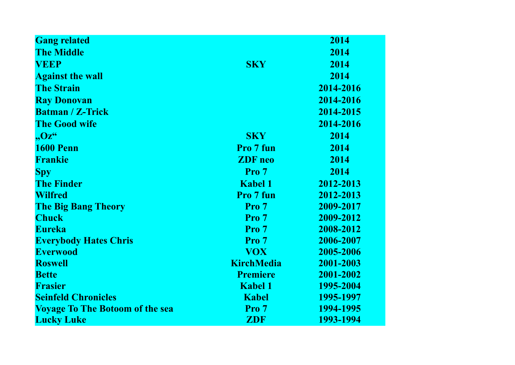| <b>Gang related</b>                    |                   | 2014      |
|----------------------------------------|-------------------|-----------|
| <b>The Middle</b>                      |                   | 2014      |
| <b>VEEP</b>                            | <b>SKY</b>        | 2014      |
| <b>Against the wall</b>                |                   | 2014      |
| <b>The Strain</b>                      |                   | 2014-2016 |
| <b>Ray Donovan</b>                     |                   | 2014-2016 |
| <b>Batman / Z-Trick</b>                |                   | 2014-2015 |
| <b>The Good wife</b>                   |                   | 2014-2016 |
| $, Oz^{\alpha}$                        | <b>SKY</b>        | 2014      |
| <b>1600 Penn</b>                       | Pro 7 fun         | 2014      |
| <b>Frankie</b>                         | <b>ZDF</b> neo    | 2014      |
| <b>Spy</b>                             | Pro 7             | 2014      |
| <b>The Finder</b>                      | <b>Kabel 1</b>    | 2012-2013 |
| <b>Wilfred</b>                         | Pro 7 fun         | 2012-2013 |
| <b>The Big Bang Theory</b>             | Pro 7             | 2009-2017 |
| <b>Chuck</b>                           | Pro 7             | 2009-2012 |
| <b>Eureka</b>                          | Pro <sub>7</sub>  | 2008-2012 |
| <b>Everybody Hates Chris</b>           | Pro 7             | 2006-2007 |
| <b>Everwood</b>                        | <b>VOX</b>        | 2005-2006 |
| <b>Roswell</b>                         | <b>KirchMedia</b> | 2001-2003 |
| <b>Bette</b>                           | <b>Premiere</b>   | 2001-2002 |
| <b>Frasier</b>                         | <b>Kabel 1</b>    | 1995-2004 |
| <b>Seinfeld Chronicles</b>             | <b>Kabel</b>      | 1995-1997 |
| <b>Voyage To The Botoom of the sea</b> | Pro <sub>7</sub>  | 1994-1995 |
| <b>Lucky Luke</b>                      | ZDF               | 1993-1994 |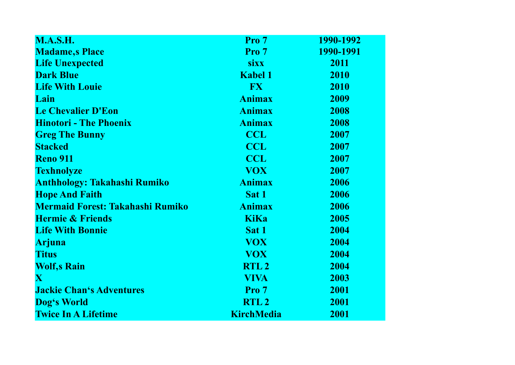| <b>M.A.S.H.</b>                         | Pro 7             | 1990-1992 |
|-----------------------------------------|-------------------|-----------|
| <b>Madame,s Place</b>                   | Pro 7             | 1990-1991 |
| <b>Life Unexpected</b>                  | <b>sixx</b>       | 2011      |
| <b>Dark Blue</b>                        | <b>Kabel 1</b>    | 2010      |
| <b>Life With Louie</b>                  | <b>FX</b>         | 2010      |
| Lain                                    | <b>Animax</b>     | 2009      |
| <b>Le Chevalier D'Eon</b>               | <b>Animax</b>     | 2008      |
| <b>Hinotori - The Phoenix</b>           | <b>Animax</b>     | 2008      |
| <b>Greg The Bunny</b>                   | <b>CCL</b>        | 2007      |
| <b>Stacked</b>                          | <b>CCL</b>        | 2007      |
| <b>Reno 911</b>                         | <b>CCL</b>        | 2007      |
| <b>Texhnolyze</b>                       | <b>VOX</b>        | 2007      |
| <b>Anthhology: Takahashi Rumiko</b>     | <b>Animax</b>     | 2006      |
| <b>Hope And Faith</b>                   | Sat 1             | 2006      |
| <b>Mermaid Forest: Takahashi Rumiko</b> | <b>Animax</b>     | 2006      |
| <b>Hermie &amp; Friends</b>             | <b>KiKa</b>       | 2005      |
| <b>Life With Bonnie</b>                 | Sat 1             | 2004      |
| <b>Arjuna</b>                           | <b>VOX</b>        | 2004      |
| <b>Titus</b>                            | <b>VOX</b>        | 2004      |
| <b>Wolf,s Rain</b>                      | RTL <sub>2</sub>  | 2004      |
| $\mathbf{X}$                            | <b>VIVA</b>       | 2003      |
| <b>Jackie Chan's Adventures</b>         | Pro 7             | 2001      |
| Dog's World                             | RTL <sub>2</sub>  | 2001      |
| <b>Twice In A Lifetime</b>              | <b>KirchMedia</b> | 2001      |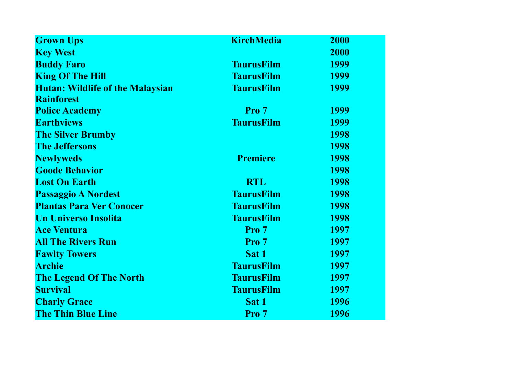| <b>Grown Ups</b>                        | <b>KirchMedia</b> | 2000 |
|-----------------------------------------|-------------------|------|
| <b>Key West</b>                         |                   | 2000 |
| <b>Buddy Faro</b>                       | <b>TaurusFilm</b> | 1999 |
| <b>King Of The Hill</b>                 | <b>TaurusFilm</b> | 1999 |
| <b>Hutan: Wildlife of the Malaysian</b> | <b>TaurusFilm</b> | 1999 |
| <b>Rainforest</b>                       |                   |      |
| <b>Police Academy</b>                   | Pro 7             | 1999 |
| <b>Earthviews</b>                       | <b>TaurusFilm</b> | 1999 |
| <b>The Silver Brumby</b>                |                   | 1998 |
| <b>The Jeffersons</b>                   |                   | 1998 |
| <b>Newlyweds</b>                        | <b>Premiere</b>   | 1998 |
| <b>Goode Behavior</b>                   |                   | 1998 |
| <b>Lost On Earth</b>                    | <b>RTL</b>        | 1998 |
| <b>Passaggio A Nordest</b>              | <b>TaurusFilm</b> | 1998 |
| <b>Plantas Para Ver Conocer</b>         | <b>TaurusFilm</b> | 1998 |
| <b>Un Universo Insolita</b>             | <b>TaurusFilm</b> | 1998 |
| <b>Ace Ventura</b>                      | Pro 7             | 1997 |
| <b>All The Rivers Run</b>               | Pro 7             | 1997 |
| <b>Fawlty Towers</b>                    | Sat 1             | 1997 |
| <b>Archie</b>                           | <b>TaurusFilm</b> | 1997 |
| <b>The Legend Of The North</b>          | <b>TaurusFilm</b> | 1997 |
| <b>Survival</b>                         | <b>TaurusFilm</b> | 1997 |
| <b>Charly Grace</b>                     | Sat 1             | 1996 |
| <b>The Thin Blue Line</b>               | Pro 7             | 1996 |